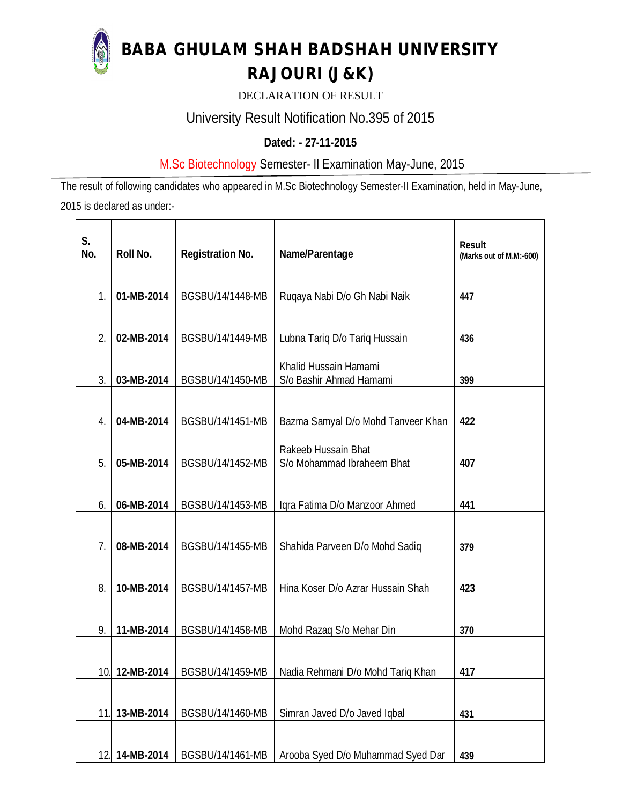

**BABA GHULAM SHAH BADSHAH UNIVERSITY** 

# **RAJOURI (J&K)**

DECLARATION OF RESULT

# University Result Notification No.395 of 2015

## **Dated: - 27-11-2015**

## M.Sc Biotechnology Semester- II Examination May-June, 2015

The result of following candidates who appeared in M.Sc Biotechnology Semester-II Examination, held in May-June, 2015 is declared as under:-

| S.  |                |                         |                                    | <b>Result</b>           |
|-----|----------------|-------------------------|------------------------------------|-------------------------|
| No. | Roll No.       | <b>Registration No.</b> | Name/Parentage                     | (Marks out of M.M:-600) |
|     |                |                         |                                    |                         |
|     |                |                         |                                    |                         |
| 1.  | 01-MB-2014     | BGSBU/14/1448-MB        | Ruqaya Nabi D/o Gh Nabi Naik       | 447                     |
|     |                |                         |                                    |                         |
| 2.  | 02-MB-2014     | BGSBU/14/1449-MB        | Lubna Tariq D/o Tariq Hussain      | 436                     |
|     |                |                         |                                    |                         |
|     |                |                         | Khalid Hussain Hamami              |                         |
| 3.  | 03-MB-2014     | BGSBU/14/1450-MB        | S/o Bashir Ahmad Hamami            | 399                     |
|     |                |                         |                                    |                         |
| 4.  | 04-MB-2014     | BGSBU/14/1451-MB        | Bazma Samyal D/o Mohd Tanveer Khan | 422                     |
|     |                |                         |                                    |                         |
|     |                |                         | Rakeeb Hussain Bhat                |                         |
| 5.  | 05-MB-2014     | BGSBU/14/1452-MB        | S/o Mohammad Ibraheem Bhat         | 407                     |
|     |                |                         |                                    |                         |
| 6.  | 06-MB-2014     | BGSBU/14/1453-MB        | Iqra Fatima D/o Manzoor Ahmed      | 441                     |
|     |                |                         |                                    |                         |
|     |                |                         |                                    |                         |
| 7.  | 08-MB-2014     | BGSBU/14/1455-MB        | Shahida Parveen D/o Mohd Sadiq     | 379                     |
|     |                |                         |                                    |                         |
| 8.  | 10-MB-2014     | BGSBU/14/1457-MB        | Hina Koser D/o Azrar Hussain Shah  | 423                     |
|     |                |                         |                                    |                         |
|     |                |                         |                                    |                         |
| 9.  | 11-MB-2014     | BGSBU/14/1458-MB        | Mohd Razaq S/o Mehar Din           | 370                     |
|     |                |                         |                                    |                         |
|     | 10. 12-MB-2014 | BGSBU/14/1459-MB        | Nadia Rehmani D/o Mohd Tariq Khan  | 417                     |
|     |                |                         |                                    |                         |
|     |                |                         |                                    |                         |
| 11. | 13-MB-2014     | BGSBU/14/1460-MB        | Simran Javed D/o Javed Iqbal       | 431                     |
|     |                |                         |                                    |                         |
| 12. | 14-MB-2014     | BGSBU/14/1461-MB        | Arooba Syed D/o Muhammad Syed Dar  | 439                     |